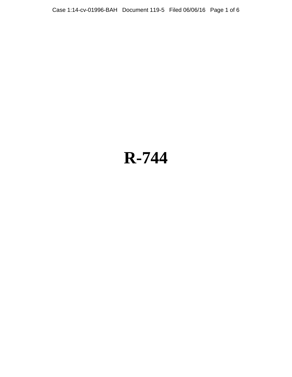# **R-744** R-744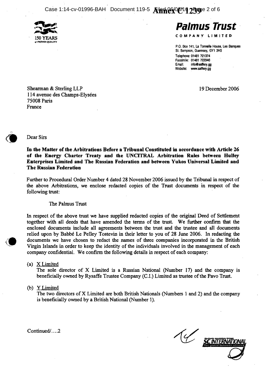Case 1:14-cv-01996-BAH Document 119-5  $\overline{Alpha}$   $\hspace{-.08cm}$   $\hspace{-.08cm}N$   $\hspace{-.08cm}P$   $\hspace{-.08cm}P$   $\hspace{-.08cm}Q$   $\hspace{-.08cm}P$   $\hspace{-.08cm}Q$   $\hspace{-.08cm}P$   $\hspace{-.08cm}Q$   $\hspace{-.08cm}Q$   $\hspace{-.08cm}P$   $\hspace{-.08cm}Q$   $\hspace{-.08cm}Q$   $\hspace{-.$ 



### **Palmus Trust**

COMPANY LIMITED

P.O. Box 141, La Tonnelle House, Les Banques St. Sampson, Guernsey, GY1 3HS Telephone: 01481 721374 Facsimile: 01481 722046 Email: info@saffely.gg Website: www.saffery.gg

I 9 December 2006

Shearman & Sterling LLP 114 avenue des Champs·Elysees 75008 Paris France



#### Dear Sirs

In tbe Matter of tbe Arbitrations Before a Tribunal Constituted in accordance with Article 26 of the Energy Charter Treaty and tbe UNCITRAL Arbitration Rules between Holley Enterprises Limited and The Russian Federation and between Yukos Universal Limited and The Russian Federation

Further to Procedural Order Number 4 dated 28 November 2006 issued by the Tribunal in respect of the above Arbitrations, we enclose redacted copies of the Trust documents in respect of the following trust:

#### The Palmus Trust

In respect of the above trust we have supplied redacted copies of the original Deed of Settlement together with all deeds that have amended the terms of the trust. We further confirm that the enclosed documents include all agreements between the trust and the trustee and all documents relied upon by Babbé Le Pelley Tostevin in their letter to you of 28 June 2006. In redacting the documents we have chosen to redact the names of three companies incorporated in the British Virgin Islands in order to keep the identity of the individuals involved in the management of each company confidential. We confirm the following details in respect of each company:

(a) X Limited

The sole director of X Limited is a Russian National (Number 17) and the company is beneficially owned by Rysaffe Trustee Company (C.I.) Limited as trustee of the Pavo Trust.

(b) Y Limited

The two directors of X Limited are both British Nationals (Numbers 1 and 2) and the company is beneficially owned by a British National (Number 1).

Continued/...2

**ECINTERNATIONA**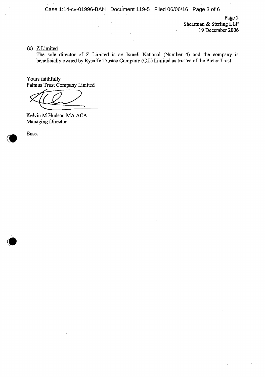Page 2 Shearman & Sterling LLP 19 December 2006

(c) Z Limited

The sole director of Z Limited is an Israeli National (Number 4) and the company is beneficially owned by Rysaffe Trustee Company (C.L) Limited as trustee of the Pictor Trust.

Yours faithfully Palmus Trust Company Limited

 $x=$ 

Kelvin M Hudson MA ACA Managing Director

Encs.

**e**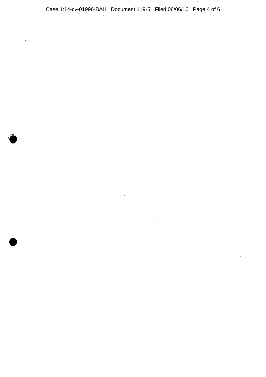$\sim 10^{11}$ 

 $\frac{1}{2}$  ,  $\frac{1}{2}$ 

 $\sim$ 

 $\label{eq:2.1} \mathcal{L}(\mathcal{L}^{\text{max}}_{\mathcal{L}}(\mathcal{L}^{\text{max}}_{\mathcal{L}})) \leq \mathcal{L}(\mathcal{L}^{\text{max}}_{\mathcal{L}}(\mathcal{L}^{\text{max}}_{\mathcal{L}})) \leq \mathcal{L}(\mathcal{L}^{\text{max}}_{\mathcal{L}}(\mathcal{L}^{\text{max}}_{\mathcal{L}}))$ 

 $\mathcal{L}^{\text{max}}_{\text{max}}$  and  $\mathcal{L}^{\text{max}}_{\text{max}}$ 

 $\sim 10^{-1}$ 

 $\sim 10^7$ 

·•

 $\mathcal{A}$ 

 $\label{eq:2.1} \frac{1}{\sqrt{2}}\sum_{i=1}^n\frac{1}{\sqrt{2}}\sum_{i=1}^n\frac{1}{\sqrt{2}}\sum_{i=1}^n\frac{1}{\sqrt{2}}\sum_{i=1}^n\frac{1}{\sqrt{2}}\sum_{i=1}^n\frac{1}{\sqrt{2}}\sum_{i=1}^n\frac{1}{\sqrt{2}}\sum_{i=1}^n\frac{1}{\sqrt{2}}\sum_{i=1}^n\frac{1}{\sqrt{2}}\sum_{i=1}^n\frac{1}{\sqrt{2}}\sum_{i=1}^n\frac{1}{\sqrt{2}}\sum_{i=1}^n\frac$ 

 $\bar{\mathcal{A}}$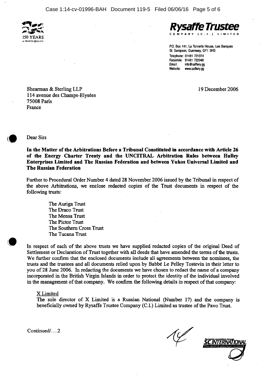

## **Rysaffe Trustee**

P.O. Box 141, La Tonnelle House, Las Banques St. Sampson, Guernsey, GY1 3HS Telephone: 01481 721374 Facsimile: 01481 722046<br>Email: info@saffery.on info@saffery.gg Website: www.saflery.gg

19 December 2006

Shearman & Sterling LLP 114 avenue des Champs-Elysées 75008 Paris France



In the Matter of the Arbitrations Before a Tribunal Constituted in accordance with Article 26 of the Energy Charter Treaty and the UNCITRAL Arbitration Rules between Hulley Enterprises Limited and The Russian Federation and between Yukos Universal Limited and The Russian Federation

Further to Procedural Order Number 4 dated 28 November 2006 issued by the Tribunal in respect of the above Arbitrations, we enclose redacted copies of the Trust documents in respect of the folloWing trusts:

> The Auriga Trust The Draco Trust The Mensa Trust The Pictor Trust The Southern Cross Trust The Tucana Trust

In respect of each of the above trusts we have supplied redacted copies of the original Deed of Settlement or Declaration of Trust together with all deeds that have amended the terms of the trusts. We further confirm that the enclosed documents include all agreements between the nominees, the trusts and the trustees and all documents relied upon by Babbe Le Pelley Tostevin in their letter to you of 28 June 2006. In redacting the documents we have chosen to redact the name of a company incorporated in the British Virgin Islands in order to protect the identity of the individual involved in the management of that company. We confirm the following details in respect of that company:

X Limited

The sole director of X Limited is a Russian National (Number 17) and the company is beneficially owned by Rysaffe Trustee Company (C.I.) Limited as trustee of the Pavo Trust.

Continued/...2